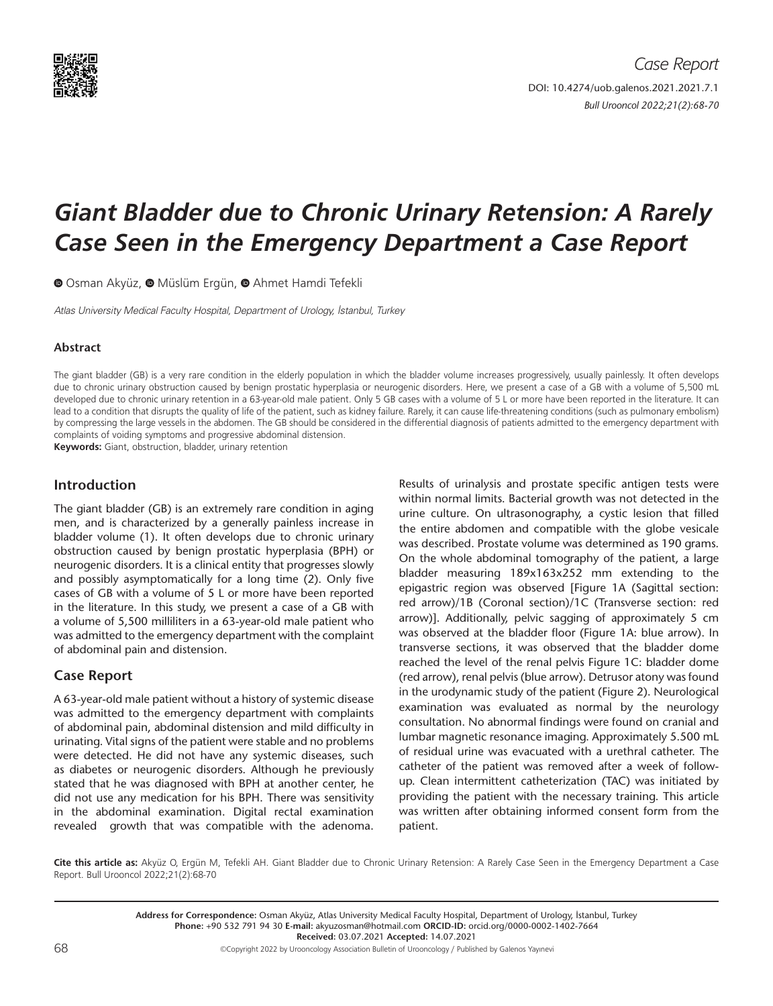

# *Giant Bladder due to Chronic Urinary Retension: A Rarely Case Seen in the Emergency Department a Case Report*

OOsman Akyüz, O Müslüm Ergün, O Ahmet Hamdi Tefekli

Atlas University Medical Faculty Hospital, Department of Urology, İstanbul, Turkey

## **Abstract**

The giant bladder (GB) is a very rare condition in the elderly population in which the bladder volume increases progressively, usually painlessly. It often develops due to chronic urinary obstruction caused by benign prostatic hyperplasia or neurogenic disorders. Here, we present a case of a GB with a volume of 5,500 mL developed due to chronic urinary retention in a 63-year-old male patient. Only 5 GB cases with a volume of 5 L or more have been reported in the literature. It can lead to a condition that disrupts the quality of life of the patient, such as kidney failure. Rarely, it can cause life-threatening conditions (such as pulmonary embolism) by compressing the large vessels in the abdomen. The GB should be considered in the differential diagnosis of patients admitted to the emergency department with complaints of voiding symptoms and progressive abdominal distension.

**Keywords:** Giant, obstruction, bladder, urinary retention

# **Introduction**

The giant bladder (GB) is an extremely rare condition in aging men, and is characterized by a generally painless increase in bladder volume (1). It often develops due to chronic urinary obstruction caused by benign prostatic hyperplasia (BPH) or neurogenic disorders. It is a clinical entity that progresses slowly and possibly asymptomatically for a long time (2). Only five cases of GB with a volume of 5 L or more have been reported in the literature. In this study, we present a case of a GB with a volume of 5,500 milliliters in a 63-year-old male patient who was admitted to the emergency department with the complaint of abdominal pain and distension.

# **Case Report**

A 63-year-old male patient without a history of systemic disease was admitted to the emergency department with complaints of abdominal pain, abdominal distension and mild difficulty in urinating. Vital signs of the patient were stable and no problems were detected. He did not have any systemic diseases, such as diabetes or neurogenic disorders. Although he previously stated that he was diagnosed with BPH at another center, he did not use any medication for his BPH. There was sensitivity in the abdominal examination. Digital rectal examination revealed growth that was compatible with the adenoma.

Results of urinalysis and prostate specific antigen tests were within normal limits. Bacterial growth was not detected in the urine culture. On ultrasonography, a cystic lesion that filled the entire abdomen and compatible with the globe vesicale was described. Prostate volume was determined as 190 grams. On the whole abdominal tomography of the patient, a large bladder measuring 189x163x252 mm extending to the epigastric region was observed [Figure 1A (Sagittal section: red arrow)/1B (Coronal section)/1C (Transverse section: red arrow)]. Additionally, pelvic sagging of approximately 5 cm was observed at the bladder floor (Figure 1A: blue arrow). In transverse sections, it was observed that the bladder dome reached the level of the renal pelvis Figure 1C: bladder dome (red arrow), renal pelvis (blue arrow). Detrusor atony was found in the urodynamic study of the patient (Figure 2). Neurological examination was evaluated as normal by the neurology consultation. No abnormal findings were found on cranial and lumbar magnetic resonance imaging. Approximately 5.500 mL of residual urine was evacuated with a urethral catheter. The catheter of the patient was removed after a week of followup. Clean intermittent catheterization (TAC) was initiated by providing the patient with the necessary training. This article was written after obtaining informed consent form from the patient.

**Cite this article as:** Akyüz O, Ergün M, Tefekli AH. Giant Bladder due to Chronic Urinary Retension: A Rarely Case Seen in the Emergency Department a Case Report. Bull Urooncol 2022;21(2):68-70

> **Address for Correspondence:** Osman Akyüz, Atlas University Medical Faculty Hospital, Department of Urology, İstanbul, Turkey **Phone:** +90 532 791 94 30 **E-mail:** akyuzosman@hotmail.com **ORCID-ID:** orcid.org/0000-0002-1402-7664 **Received:** 03.07.2021 **Accepted:** 14.07.2021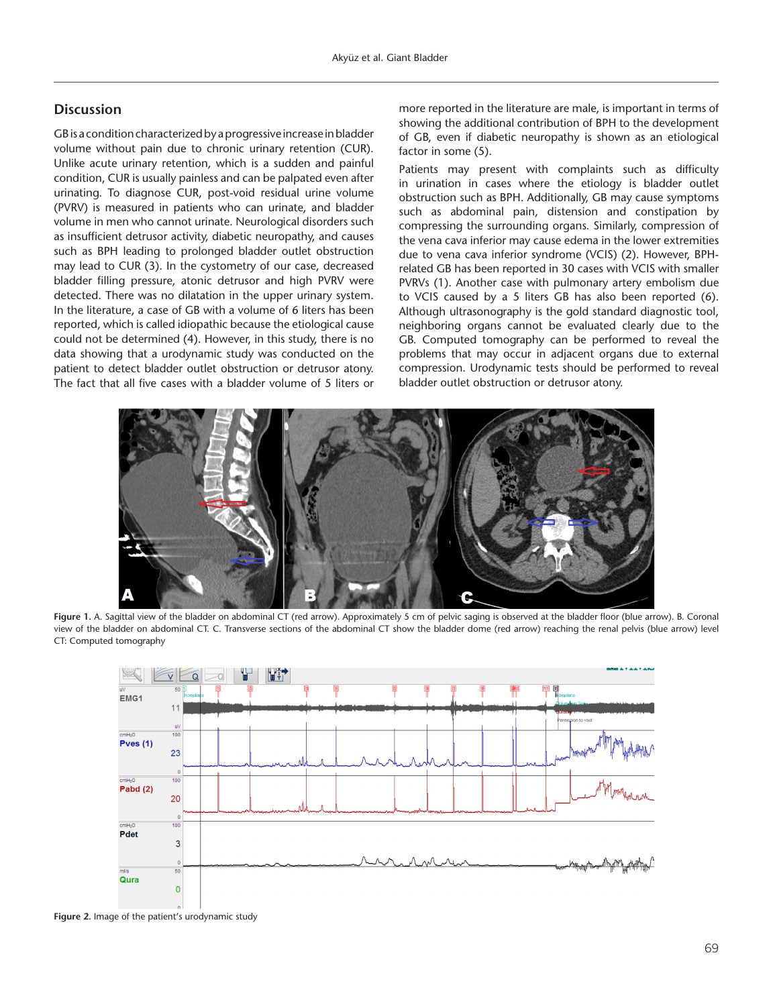## **Discussion**

GB is a condition characterized by a progressive increase in bladder volume without pain due to chronic urinary retention (CUR). Unlike acute urinary retention, which is a sudden and painful condition, CUR is usually painless and can be palpated even after urinating. To diagnose CUR, post-void residual urine volume (PVRV) is measured in patients who can urinate, and bladder volume in men who cannot urinate. Neurological disorders such as insufficient detrusor activity, diabetic neuropathy, and causes such as BPH leading to prolonged bladder outlet obstruction may lead to CUR (3). In the cystometry of our case, decreased bladder filling pressure, atonic detrusor and high PVRV were detected. There was no dilatation in the upper urinary system. In the literature, a case of GB with a volume of 6 liters has been reported, which is called idiopathic because the etiological cause could not be determined (4). However, in this study, there is no data showing that a urodynamic study was conducted on the patient to detect bladder outlet obstruction or detrusor atony. The fact that all five cases with a bladder volume of 5 liters or more reported in the literature are male, is important in terms of showing the additional contribution of BPH to the development of GB, even if diabetic neuropathy is shown as an etiological factor in some (5).

Patients may present with complaints such as difficulty in urination in cases where the etiology is bladder outlet obstruction such as BPH. Additionally, GB may cause symptoms such as abdominal pain, distension and constipation by compressing the surrounding organs. Similarly, compression of the vena cava inferior may cause edema in the lower extremities due to vena cava inferior syndrome (VCIS) (2). However, BPHrelated GB has been reported in 30 cases with VCIS with smaller PVRVs (1). Another case with pulmonary artery embolism due to VCIS caused by a 5 liters GB has also been reported (6). Although ultrasonography is the gold standard diagnostic tool, neighboring organs cannot be evaluated clearly due to the GB. Computed tomography can be performed to reveal the problems that may occur in adjacent organs due to external compression. Urodynamic tests should be performed to reveal bladder outlet obstruction or detrusor atony.



**Figure 1.** A. Sagittal view of the bladder on abdominal CT (red arrow). Approximately 5 cm of pelvic saging is observed at the bladder floor (blue arrow). B. Coronal view of the bladder on abdominal CT. C. Transverse sections of the abdominal CT show the bladder dome (red arrow) reaching the renal pelvis (blue arrow) level CT: Computed tomography



**Figure 2.** Image of the patient's urodynamic study